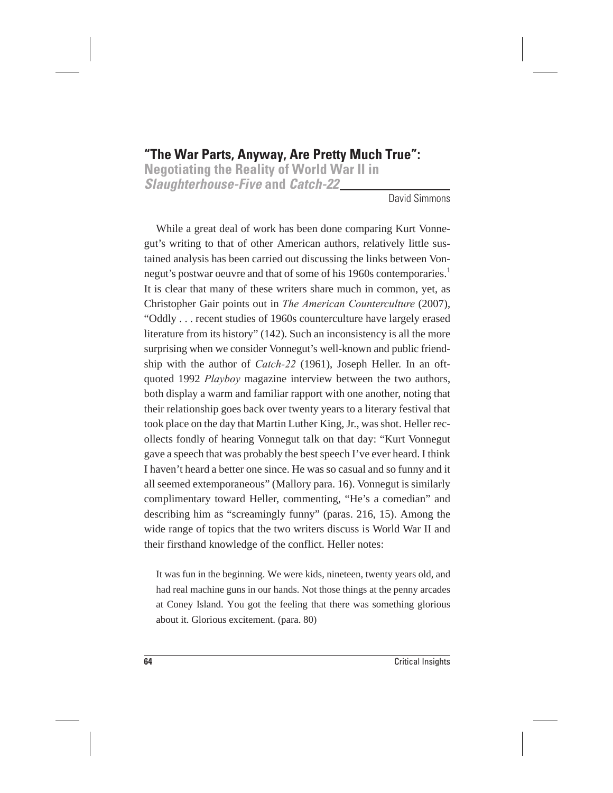## **"The War Parts, Anyway, Are Pretty Much True":**

**Negotiating the Reality of World War II in Slaughterhouse-Five and Catch-22**

David Simmons

While a great deal of work has been done comparing Kurt Vonnegut's writing to that of other American authors, relatively little sustained analysis has been carried out discussing the links between Vonnegut's postwar oeuvre and that of some of his 1960s contemporaries.<sup>1</sup> It is clear that many of these writers share much in common, yet, as Christopher Gair points out in *The American Counterculture* (2007), "Oddly . . . recent studies of 1960s counterculture have largely erased literature from its history" (142). Such an inconsistency is all the more surprising when we consider Vonnegut's well-known and public friendship with the author of *Catch-22* (1961), Joseph Heller. In an oftquoted 1992 *Playboy* magazine interview between the two authors, both display a warm and familiar rapport with one another, noting that their relationship goes back over twenty years to a literary festival that took place on the day that Martin Luther King, Jr., was shot. Heller recollects fondly of hearing Vonnegut talk on that day: "Kurt Vonnegut gave a speech that was probably the best speech I've ever heard. I think I haven't heard a better one since. He was so casual and so funny and it all seemed extemporaneous" (Mallory para. 16). Vonnegut is similarly complimentary toward Heller, commenting, "He's a comedian" and describing him as "screamingly funny" (paras. 216, 15). Among the wide range of topics that the two writers discuss is World War II and their firsthand knowledge of the conflict. Heller notes:

It was fun in the beginning. We were kids, nineteen, twenty years old, and had real machine guns in our hands. Not those things at the penny arcades at Coney Island. You got the feeling that there was something glorious about it. Glorious excitement. (para. 80)